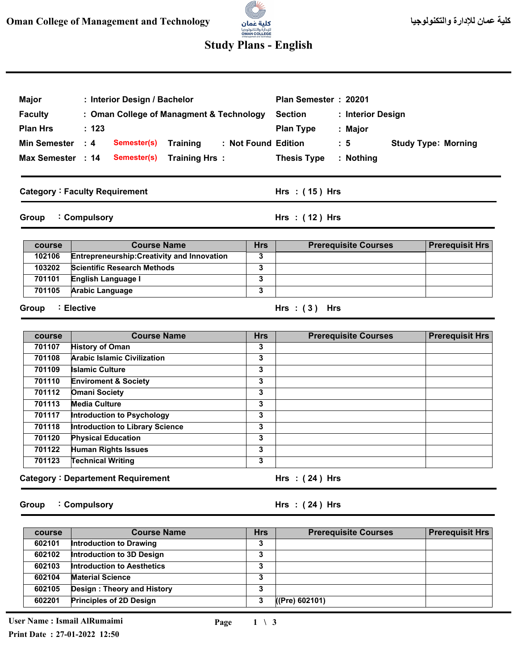

## **Study Plans - English**

| <b>Faculty</b><br><b>Plan Hrs</b><br><b>Min Semester</b><br>Max Semester : 14<br>Group | : Interior Design / Bachelor<br>: Oman College of Managment & Technology<br>: 123<br>$\cdot$ 4<br>Semester(s)<br>Training<br><b>Training Hrs:</b><br>Semester(s)<br><b>Category: Faculty Requirement</b><br>: Compulsory |            | Plan Semester: 20201<br><b>Section</b><br>: Interior Design<br><b>Plan Type</b><br>: Major<br>: Not Found Edition<br>$\therefore$ 5<br><b>Thesis Type</b><br>: Nothing<br>Hrs : (15) Hrs<br>Hrs: (12) Hrs | <b>Study Type: Morning</b> |
|----------------------------------------------------------------------------------------|--------------------------------------------------------------------------------------------------------------------------------------------------------------------------------------------------------------------------|------------|-----------------------------------------------------------------------------------------------------------------------------------------------------------------------------------------------------------|----------------------------|
| course                                                                                 | <b>Course Name</b>                                                                                                                                                                                                       | <b>Hrs</b> | <b>Prerequisite Courses</b>                                                                                                                                                                               | <b>Prerequisit Hrs</b>     |
| 102106                                                                                 | <b>Entrepreneurship: Creativity and Innovation</b>                                                                                                                                                                       | 3          |                                                                                                                                                                                                           |                            |
| 103202                                                                                 | <b>Scientific Research Methods</b>                                                                                                                                                                                       | 3          |                                                                                                                                                                                                           |                            |
| 701101                                                                                 | English Language I                                                                                                                                                                                                       | 3          |                                                                                                                                                                                                           |                            |
| 701105                                                                                 | <b>Arabic Language</b>                                                                                                                                                                                                   | 3          |                                                                                                                                                                                                           |                            |
| Group<br>course                                                                        | ∶ Elective<br><b>Course Name</b>                                                                                                                                                                                         | <b>Hrs</b> | Hrs: $(3)$ Hrs<br><b>Prerequisite Courses</b>                                                                                                                                                             | <b>Prerequisit Hrs</b>     |
| 701107                                                                                 | <b>History of Oman</b>                                                                                                                                                                                                   | 3          |                                                                                                                                                                                                           |                            |
| 701108                                                                                 | <b>Arabic Islamic Civilization</b>                                                                                                                                                                                       | 3          |                                                                                                                                                                                                           |                            |
| 701109                                                                                 | <b>Islamic Culture</b>                                                                                                                                                                                                   | 3          |                                                                                                                                                                                                           |                            |
| 701110                                                                                 | <b>Enviroment &amp; Society</b>                                                                                                                                                                                          | 3          |                                                                                                                                                                                                           |                            |
|                                                                                        |                                                                                                                                                                                                                          | 3          |                                                                                                                                                                                                           |                            |
| 701112                                                                                 |                                                                                                                                                                                                                          |            |                                                                                                                                                                                                           |                            |
| 701113                                                                                 | <b>Omani Society</b><br><b>Media Culture</b>                                                                                                                                                                             | 3          |                                                                                                                                                                                                           |                            |
| 701117                                                                                 |                                                                                                                                                                                                                          | 3          |                                                                                                                                                                                                           |                            |
| 701118                                                                                 | <b>Introduction to Psychology</b><br><b>Introduction to Library Science</b>                                                                                                                                              | 3          |                                                                                                                                                                                                           |                            |
| 701120                                                                                 | <b>Physical Education</b>                                                                                                                                                                                                | 3          |                                                                                                                                                                                                           |                            |
| 701122                                                                                 | <b>Human Rights Issues</b>                                                                                                                                                                                               | 3          |                                                                                                                                                                                                           |                            |
| 701123                                                                                 | <b>Technical Writing</b>                                                                                                                                                                                                 | 3          |                                                                                                                                                                                                           |                            |

| course | <b>Course Name</b>                | <b>Hrs</b> | <b>Prerequisite Courses</b> | <b>Prerequisit Hrs</b> |
|--------|-----------------------------------|------------|-----------------------------|------------------------|
| 602101 | Introduction to Drawing           | 3          |                             |                        |
| 602102 | Introduction to 3D Design         | 3          |                             |                        |
| 602103 | <b>Introduction to Aesthetics</b> | 3          |                             |                        |
| 602104 | <b>Material Science</b>           | 3          |                             |                        |
| 602105 | Design: Theory and History        | 3          |                             |                        |
| 602201 | <b>Principles of 2D Design</b>    | 3          | ((Pre) 602101)              |                        |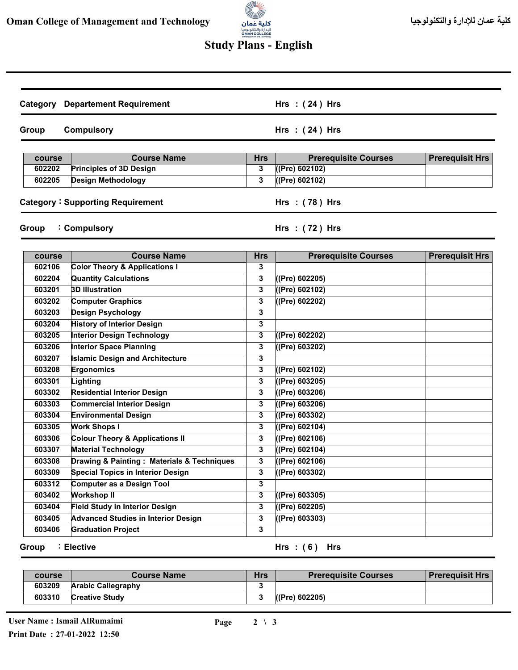

## **Study Plans - English**

| Category | <b>Departement Requirement</b>             |            | Hrs: $(24)$ Hrs             |                        |
|----------|--------------------------------------------|------------|-----------------------------|------------------------|
| Group    | <b>Compulsory</b>                          |            | Hrs: $(24)$ Hrs             |                        |
| course   | <b>Course Name</b>                         | <b>Hrs</b> | <b>Prerequisite Courses</b> | <b>Prerequisit Hrs</b> |
| 602202   | <b>Principles of 3D Design</b>             | 3          | ((Pre) 602102)              |                        |
| 602205   | <b>Design Methodology</b>                  | 3          | $($ (Pre) 602102)           |                        |
|          |                                            |            |                             |                        |
|          | <b>Category: Supporting Requirement</b>    |            | Hrs: (78) Hrs               |                        |
| Group    | : Compulsory                               |            | Hrs: (72) Hrs               |                        |
| course   | <b>Course Name</b>                         | <b>Hrs</b> | <b>Prerequisite Courses</b> | <b>Prerequisit Hrs</b> |
| 602106   | <b>Color Theory &amp; Applications I</b>   | 3          |                             |                        |
| 602204   | <b>Quantity Calculations</b>               | 3          | (Pre) 602205)               |                        |
| 603201   | <b>3D Illustration</b>                     | 3          | ((Pre) 602102)              |                        |
| 603202   | <b>Computer Graphics</b>                   | 3          | ((Pre) 602202)              |                        |
| 603203   | <b>Design Psychology</b>                   | 3          |                             |                        |
| 603204   | <b>History of Interior Design</b>          | 3          |                             |                        |
| 603205   | <b>Interior Design Technology</b>          | 3          | ((Pre) 602202)              |                        |
| 603206   | <b>Interior Space Planning</b>             | 3          | ((Pre) 603202)              |                        |
| 603207   | <b>Islamic Design and Architecture</b>     | 3          |                             |                        |
| 603208   | Ergonomics                                 | 3          | (Pre) 602102)               |                        |
| 603301   | Lighting                                   | 3          | ((Pre) 603205)              |                        |
| 603302   | <b>Residential Interior Design</b>         | 3          | ((Pre) 603206)              |                        |
| 603303   | <b>Commercial Interior Design</b>          | 3          | ((Pre) 603206)              |                        |
| 603304   | <b>Environmental Design</b>                | 3          | $($ (Pre) 603302)           |                        |
| 603305   | <b>Work Shops I</b>                        | 3          | ((Pre) 602104)              |                        |
| 603306   | <b>Colour Theory &amp; Applications II</b> | 3          | ((Pre) 602106)              |                        |
| 603307   | <b>Material Technology</b>                 | 3          | ((Pre) 602104)              |                        |
| 603308   | Drawing & Painting: Materials & Techniques | 3          | ((Pre) 602106)              |                        |
| 603309   | <b>Special Topics in Interior Design</b>   | 3          | ((Pre) 603302)              |                        |
| 603312   | Computer as a Design Tool                  | 3          |                             |                        |
| 603402   | <b>Workshop II</b>                         | 3          | ((Pre) 603305)              |                        |
| 603404   | <b>Field Study in Interior Design</b>      | 3          | ((Pre) 602205)              |                        |
| 603405   | <b>Advanced Studies in Interior Design</b> | 3          | ((Pre) 603303)              |                        |
| 603406   | <b>Graduation Project</b>                  | 3          |                             |                        |

**Group Elective :** **( 6 ) Hrs : Hrs**

| course | <b>Course Name</b>        | <b>Hrs</b> | <b>Prerequisite Courses</b> | <b>Prerequisit Hrs</b> |
|--------|---------------------------|------------|-----------------------------|------------------------|
| 603209 | <b>Arabic Callegraphy</b> |            |                             |                        |
| 603310 | <b>Creative Study</b>     |            | ((Pre) 602205)              |                        |